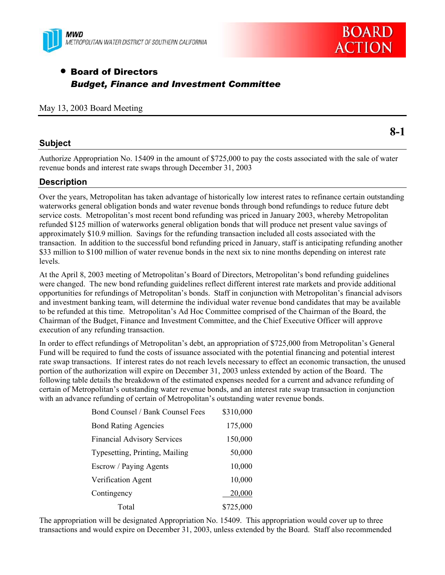



**8-1** 

# • Board of Directors *Budget, Finance and Investment Committee*

### May 13, 2003 Board Meeting

## **Subject**

Authorize Appropriation No. 15409 in the amount of \$725,000 to pay the costs associated with the sale of water revenue bonds and interest rate swaps through December 31, 2003

## **Description**

Over the years, Metropolitan has taken advantage of historically low interest rates to refinance certain outstanding waterworks general obligation bonds and water revenue bonds through bond refundings to reduce future debt service costs. Metropolitan's most recent bond refunding was priced in January 2003, whereby Metropolitan refunded \$125 million of waterworks general obligation bonds that will produce net present value savings of approximately \$10.9 million. Savings for the refunding transaction included all costs associated with the transaction. In addition to the successful bond refunding priced in January, staff is anticipating refunding another \$33 million to \$100 million of water revenue bonds in the next six to nine months depending on interest rate levels.

At the April 8, 2003 meeting of Metropolitan's Board of Directors, Metropolitan's bond refunding guidelines were changed. The new bond refunding guidelines reflect different interest rate markets and provide additional opportunities for refundings of Metropolitan's bonds. Staff in conjunction with Metropolitan's financial advisors and investment banking team, will determine the individual water revenue bond candidates that may be available to be refunded at this time. Metropolitan's Ad Hoc Committee comprised of the Chairman of the Board, the Chairman of the Budget, Finance and Investment Committee, and the Chief Executive Officer will approve execution of any refunding transaction.

In order to effect refundings of Metropolitan's debt, an appropriation of \$725,000 from Metropolitan's General Fund will be required to fund the costs of issuance associated with the potential financing and potential interest rate swap transactions. If interest rates do not reach levels necessary to effect an economic transaction, the unused portion of the authorization will expire on December 31, 2003 unless extended by action of the Board. The following table details the breakdown of the estimated expenses needed for a current and advance refunding of certain of Metropolitan's outstanding water revenue bonds, and an interest rate swap transaction in conjunction with an advance refunding of certain of Metropolitan's outstanding water revenue bonds.

| Bond Counsel / Bank Counsel Fees   | \$310,000 |
|------------------------------------|-----------|
| <b>Bond Rating Agencies</b>        | 175,000   |
| <b>Financial Advisory Services</b> | 150,000   |
| Typesetting, Printing, Mailing     | 50,000    |
| Escrow / Paying Agents             | 10,000    |
| Verification Agent                 | 10,000    |
| Contingency                        | 20,000    |
| Total                              | \$725,000 |

The appropriation will be designated Appropriation No. 15409. This appropriation would cover up to three transactions and would expire on December 31, 2003, unless extended by the Board. Staff also recommended